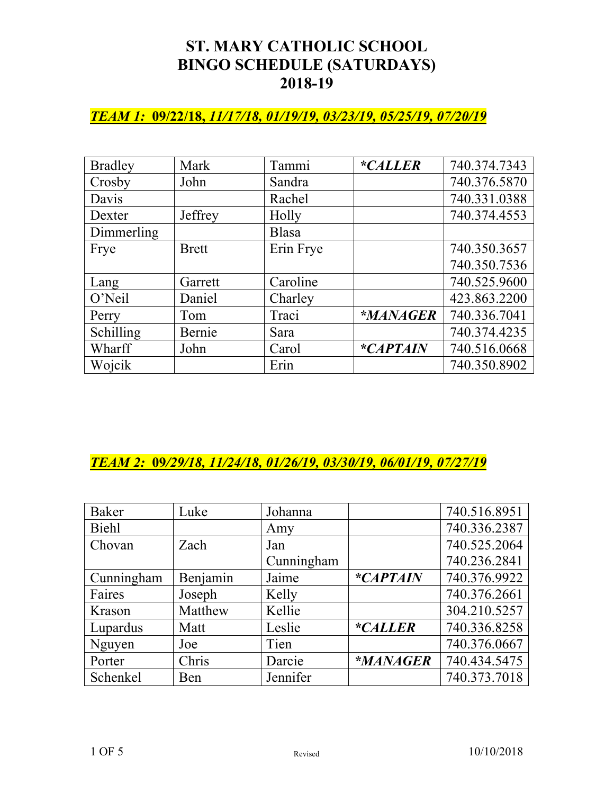### *TEAM 1:* **09/22/18,** *11/17/18, 01/19/19, 03/23/19, 05/25/19, 07/20/19*

| <b>Bradley</b> | Mark         | Tammi     | <i>*CALLER</i> | 740.374.7343 |
|----------------|--------------|-----------|----------------|--------------|
| Crosby         | John         | Sandra    |                | 740.376.5870 |
| Davis          |              | Rachel    |                | 740.331.0388 |
| Dexter         | Jeffrey      | Holly     |                | 740.374.4553 |
| Dimmerling     |              | Blasa     |                |              |
| Frye           | <b>Brett</b> | Erin Frye |                | 740.350.3657 |
|                |              |           |                | 740.350.7536 |
| Lang           | Garrett      | Caroline  |                | 740.525.9600 |
| O'Neil         | Daniel       | Charley   |                | 423.863.2200 |
| Perry          | Tom          | Traci     | *MANAGER       | 740.336.7041 |
| Schilling      | Bernie       | Sara      |                | 740.374.4235 |
| Wharff         | John         | Carol     | *CAPTAIN       | 740.516.0668 |
| Wojcik         |              | Erin      |                | 740.350.8902 |

### *TEAM 2:* **09***/29/18, 11/24/18, 01/26/19, 03/30/19, 06/01/19, 07/27/19*

| <b>Baker</b> | Luke     | Johanna    |                | 740.516.8951 |
|--------------|----------|------------|----------------|--------------|
| Biehl        |          | Amy        |                | 740.336.2387 |
| Chovan       | Zach     | Jan        |                | 740.525.2064 |
|              |          | Cunningham |                | 740.236.2841 |
| Cunningham   | Benjamin | Jaime      | *CAPTAIN       | 740.376.9922 |
| Faires       | Joseph   | Kelly      |                | 740.376.2661 |
| Krason       | Matthew  | Kellie     |                | 304.210.5257 |
| Lupardus     | Matt     | Leslie     | <i>*CALLER</i> | 740.336.8258 |
| Nguyen       | Joe      | Tien       |                | 740.376.0667 |
| Porter       | Chris    | Darcie     | *MANAGER       | 740.434.5475 |
| Schenkel     | Ben      | Jennifer   |                | 740.373.7018 |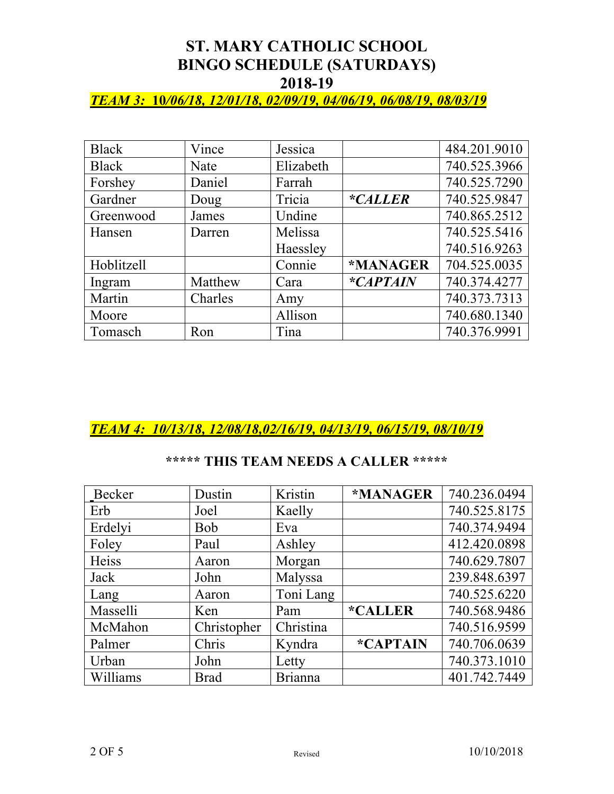### *TEAM 3:* **10***/06/18, 12/01/18, 02/09/19, 04/06/19, 06/08/19, 08/03/19*

| Black      | Vince   | Jessica   |                 | 484.201.9010 |
|------------|---------|-----------|-----------------|--------------|
| Black      | Nate    | Elizabeth |                 | 740.525.3966 |
| Forshey    | Daniel  | Farrah    |                 | 740.525.7290 |
| Gardner    | Doug    | Tricia    | <i>*CALLER</i>  | 740.525.9847 |
| Greenwood  | James   | Undine    |                 | 740.865.2512 |
| Hansen     | Darren  | Melissa   |                 | 740.525.5416 |
|            |         | Haessley  |                 | 740.516.9263 |
| Hoblitzell |         | Connie    | *MANAGER        | 704.525.0035 |
| Ingram     | Matthew | Cara      | <i>*CAPTAIN</i> | 740.374.4277 |
| Martin     | Charles | Amy       |                 | 740.373.7313 |
| Moore      |         | Allison   |                 | 740.680.1340 |
| Tomasch    | Ron     | Tina      |                 | 740.376.9991 |

### *TEAM 4: 10/13/18, 12/08/18,02/16/19, 04/13/19, 06/15/19, 08/10/19*

### **\*\*\*\*\* THIS TEAM NEEDS A CALLER \*\*\*\*\***

| Becker   | Dustin      | Kristin        | *MANAGER              | 740.236.0494 |
|----------|-------------|----------------|-----------------------|--------------|
| Erb      | Joel        | Kaelly         |                       | 740.525.8175 |
| Erdelyi  | <b>Bob</b>  | Eva            |                       | 740.374.9494 |
| Foley    | Paul        | Ashley         |                       | 412.420.0898 |
| Heiss    | Aaron       | Morgan         |                       | 740.629.7807 |
| Jack     | John        | Malyssa        |                       | 239.848.6397 |
| Lang     | Aaron       | Toni Lang      |                       | 740.525.6220 |
| Masselli | Ken         | Pam            | <i><b>*CALLER</b></i> | 740.568.9486 |
| McMahon  | Christopher | Christina      |                       | 740.516.9599 |
| Palmer   | Chris       | Kyndra         | *CAPTAIN              | 740.706.0639 |
| Urban    | John        | Letty          |                       | 740.373.1010 |
| Williams | <b>Brad</b> | <b>Brianna</b> |                       | 401.742.7449 |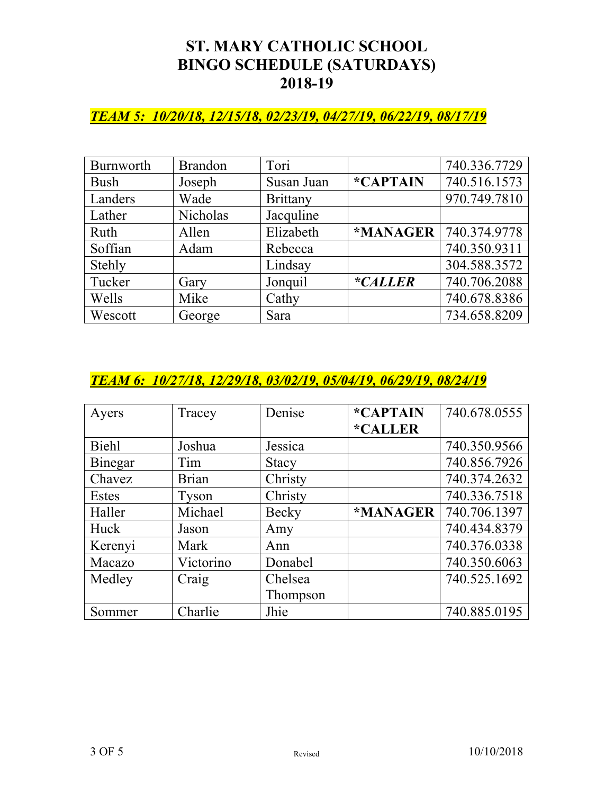### *TEAM 5: 10/20/18, 12/15/18, 02/23/19, 04/27/19, 06/22/19, 08/17/19*

| Burnworth   | <b>Brandon</b> | Tori            |           | 740.336.7729 |
|-------------|----------------|-----------------|-----------|--------------|
| <b>Bush</b> | Joseph         | Susan Juan      | *CAPTAIN  | 740.516.1573 |
| Landers     | Wade           | <b>Brittany</b> |           | 970.749.7810 |
| Lather      | Nicholas       | Jacquline       |           |              |
| Ruth        | Allen          | Elizabeth       | *MANAGER  | 740.374.9778 |
| Soffian     | Adam           | Rebecca         |           | 740.350.9311 |
| Stehly      |                | Lindsay         |           | 304.588.3572 |
| Tucker      | Gary           | Jonquil         | $*CALLER$ | 740.706.2088 |
| Wells       | Mike           | Cathy           |           | 740.678.8386 |
| Wescott     | George         | Sara            |           | 734.658.8209 |

### *TEAM 6: 10/27/18, 12/29/18, 03/02/19, 05/04/19, 06/29/19, 08/24/19*

| Ayers        | Tracey       | Denise       | *CAPTAIN              | 740.678.0555 |
|--------------|--------------|--------------|-----------------------|--------------|
|              |              |              | <i><b>*CALLER</b></i> |              |
| <b>Biehl</b> | Joshua       | Jessica      |                       | 740.350.9566 |
| Binegar      | Tim          | <b>Stacy</b> |                       | 740.856.7926 |
| Chavez       | <b>Brian</b> | Christy      |                       | 740.374.2632 |
| Estes        | <b>Tyson</b> | Christy      |                       | 740.336.7518 |
| Haller       | Michael      | Becky        | *MANAGER              | 740.706.1397 |
| Huck         | Jason        | Amy          |                       | 740.434.8379 |
| Kerenyi      | Mark         | Ann          |                       | 740.376.0338 |
| Macazo       | Victorino    | Donabel      |                       | 740.350.6063 |
| Medley       | Craig        | Chelsea      |                       | 740.525.1692 |
|              |              | Thompson     |                       |              |
| Sommer       | Charlie      | Jhie         |                       | 740.885.0195 |